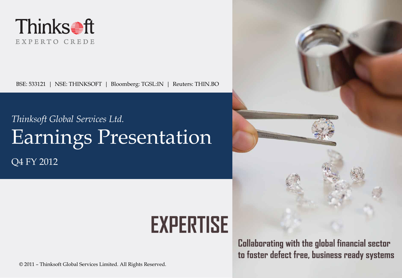

BSE: 533121 | NSE: THINKSOFT | Bloomberg: TGSL:IN | Reuters: THIN.BO

# *Thinksoft Global Services Ltd.* Earnings Presentation

Q4 FY 2012

# **EXPERTISE**

Collaborating with the global financial sector to foster defect free, business ready systems

© 2011 – Thinksoft Global Services Limited. All Rights Reserved.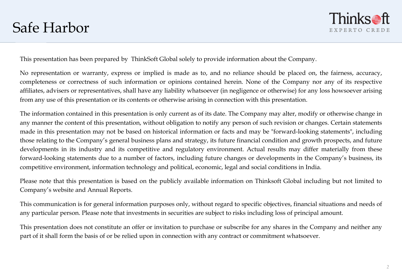

This presentation has been prepared by ThinkSoft Global solely to provide information about the Company.

No representation or warranty, express or implied is made as to, and no reliance should be placed on, the fairness, accuracy, completeness or correctness of such information or opinions contained herein. None of the Company nor any of its respective affiliates, advisers or representatives, shall have any liability whatsoever (in negligence or otherwise) for any loss howsoever arising from any use of this presentation or its contents or otherwise arising in connection with this presentation.

The information contained in this presentation is only current as of its date. The Company may alter, modify or otherwise change in any manner the content of this presentation, without obligation to notify any person of such revision or changes. Certain statements made in this presentation may not be based on historical information or facts and may be "forward-looking statements", including those relating to the Company's general business plans and strategy, its future financial condition and growth prospects, and future developments in its industry and its competitive and regulatory environment. Actual results may differ materially from these forward-looking statements due to a number of factors, including future changes or developments in the Company's business, its competitive environment, information technology and political, economic, legal and social conditions in India.

Please note that this presentation is based on the publicly available information on Thinksoft Global including but not limited to Company's website and Annual Reports.

This communication is for general information purposes only, without regard to specific objectives, financial situations and needs of any particular person. Please note that investments in securities are subject to risks including loss of principal amount.

This presentation does not constitute an offer or invitation to purchase or subscribe for any shares in the Company and neither any part of it shall form the basis of or be relied upon in connection with any contract or commitment whatsoever.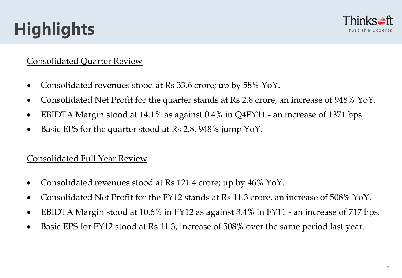# **Highlights**



#### Consolidated Quarter Review

- Consolidated revenues stood at Rs 33.6 crore; up by 58% YoY.
- Consolidated Net Profit for the quarter stands at Rs 2.8 crore, an increase of 948% YoY.
- EBIDTA Margin stood at 14.1% as against 0.4% in Q4FY11 an increase of 1371 bps.
- Basic EPS for the quarter stood at Rs 2.8, 948% jump YoY.

#### Consolidated Full Year Review

- Consolidated revenues stood at Rs 121.4 crore; up by 46% YoY.
- Consolidated Net Profit for the FY12 stands at Rs 11.3 crore, an increase of 508% YoY.
- EBIDTA Margin stood at 10.6% in FY12 as against 3.4% in FY11 an increase of 717 bps.
- Basic EPS for FY12 stood at Rs 11.3, increase of 508% over the same period last year.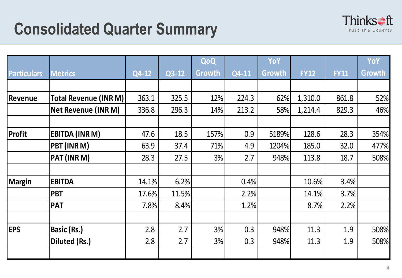

|                    |                              |       |         | QoQ    |       | YoY    |             |             | YoY    |
|--------------------|------------------------------|-------|---------|--------|-------|--------|-------------|-------------|--------|
| <b>Particulars</b> | <b>Metrics</b>               | Q4-12 | $Q3-12$ | Growth | Q4-11 | Growth | <b>FY12</b> | <b>FY11</b> | Growth |
|                    |                              |       |         |        |       |        |             |             |        |
| Revenue            | <b>Total Revenue (INR M)</b> | 363.1 | 325.5   | 12%    | 224.3 | 62%    | 1,310.0     | 861.8       | 52%    |
|                    | <b>Net Revenue (INR M)</b>   | 336.8 | 296.3   | 14%    | 213.2 | 58%    | 1,214.4     | 829.3       | 46%    |
|                    |                              |       |         |        |       |        |             |             |        |
| Profit             | <b>EBITDA (INR M)</b>        | 47.6  | 18.5    | 157%   | 0.9   | 5189%  | 128.6       | 28.3        | 354%   |
|                    | PBT (INR M)                  | 63.9  | 37.4    | 71%    | 4.9   | 1204%  | 185.0       | 32.0        | 477%   |
|                    | PAT (INR M)                  | 28.3  | 27.5    | 3%     | 2.7   | 948%   | 113.8       | 18.7        | 508%   |
|                    |                              |       |         |        |       |        |             |             |        |
| <b>Margin</b>      | <b>EBITDA</b>                | 14.1% | 6.2%    |        | 0.4%  |        | 10.6%       | 3.4%        |        |
|                    | <b>PBT</b>                   | 17.6% | 11.5%   |        | 2.2%  |        | 14.1%       | 3.7%        |        |
|                    | <b>PAT</b>                   | 7.8%  | 8.4%    |        | 1.2%  |        | 8.7%        | 2.2%        |        |
|                    |                              |       |         |        |       |        |             |             |        |
| <b>EPS</b>         | <b>Basic (Rs.)</b>           | 2.8   | 2.7     | 3%     | 0.3   | 948%   | 11.3        | 1.9         | 508%   |
|                    | Diluted (Rs.)                | 2.8   | 2.7     | 3%     | 0.3   | 948%   | 11.3        | 1.9         | 508%   |
|                    |                              |       |         |        |       |        |             |             |        |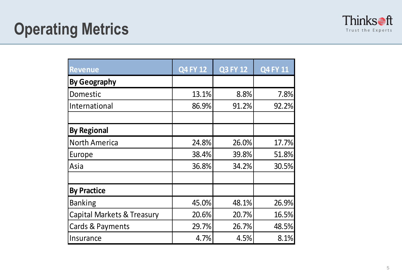

| <b>Revenue</b>                        | <b>Q4 FY 12</b> | <b>Q3 FY 12</b> | <b>Q4 FY 11</b> |
|---------------------------------------|-----------------|-----------------|-----------------|
| <b>By Geography</b>                   |                 |                 |                 |
| Domestic                              | 13.1%           | 8.8%            | 7.8%            |
| International                         | 86.9%           | 91.2%           | 92.2%           |
|                                       |                 |                 |                 |
| <b>By Regional</b>                    |                 |                 |                 |
| <b>North America</b>                  | 24.8%           | 26.0%           | 17.7%           |
| Europe                                | 38.4%           | 39.8%           | 51.8%           |
| Asia                                  | 36.8%           | 34.2%           | 30.5%           |
|                                       |                 |                 |                 |
| <b>By Practice</b>                    |                 |                 |                 |
| <b>Banking</b>                        | 45.0%           | 48.1%           | 26.9%           |
| <b>Capital Markets &amp; Treasury</b> | 20.6%           | 20.7%           | 16.5%           |
| <b>Cards &amp; Payments</b>           | 29.7%           | 26.7%           | 48.5%           |
| Insurance                             | 4.7%            | 4.5%            | 8.1%            |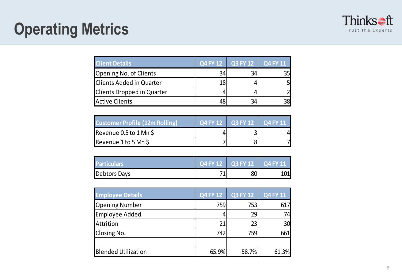

### **Operating Metrics**

| <b>Client Details</b>             |    | Q4 FY 12 Q3 FY 12 | Q4 FY 11 |
|-----------------------------------|----|-------------------|----------|
| Opening No. of Clients            | 34 |                   | 351      |
| <b>Clients Added in Quarter</b>   | 18 |                   |          |
| <b>Clients Dropped in Quarter</b> |    |                   |          |
| <b>Active Clients</b>             |    |                   | 38       |

| <b>Customer Profile (12m Rolling)</b> | $\sqrt{Q4}$ FY 12 $\sqrt{Q3}$ FY 12 $\sqrt{Q4}$ FY 11 |  |
|---------------------------------------|-------------------------------------------------------|--|
| Revenue $0.5$ to $1$ Mn $\zeta$       |                                                       |  |
| Revenue 1 to 5 Mn \$                  |                                                       |  |

| <b>Particulars</b> | $\sqrt{04}$ FY 12 $\sqrt{03}$ FY 12 $\sqrt{04}$ FY 11 |     |
|--------------------|-------------------------------------------------------|-----|
| Debtors Days       | 80l                                                   | 101 |

| <b>Employee Details</b>    | <b>Q4 FY 12</b> | <b>Q3 FY 12</b> | Q4 FY 11        |
|----------------------------|-----------------|-----------------|-----------------|
| <b>Opening Number</b>      | 759             | 753             | 617             |
| Employee Added             |                 | 29              | 74              |
| Attrition                  | 21              | 23              | 30 <sub>l</sub> |
| Closing No.                | 742             | 759             | 661             |
|                            |                 |                 |                 |
| <b>Blended Utilization</b> | 65.9%           | 58.7%           | 61.3%           |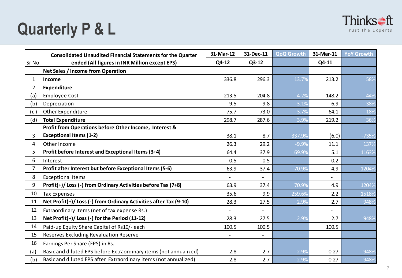## **Quarterly P & L**



|                | <b>Consolidated Unaudited Financial Statements for the Quarter</b> | 31-Mar-12                | 31-Dec-11                | <b>QoQ Growth</b> | 31-Mar-11 | <b>YoY Growth</b> |
|----------------|--------------------------------------------------------------------|--------------------------|--------------------------|-------------------|-----------|-------------------|
| Sr No.         | ended (All figures in INR Million except EPS)                      | Q4-12                    | $Q3-12$                  |                   | Q4-11     |                   |
|                | Net Sales / Income from Operation                                  |                          |                          |                   |           |                   |
| $\mathbf{1}$   | Income                                                             | 336.8                    | 296.3                    | 13.7%             | 213.2     | 58%               |
| $\overline{2}$ | <b>Expenditure</b>                                                 |                          |                          |                   |           |                   |
| (a)            | <b>Employee Cost</b>                                               | 213.5                    | 204.8                    | 4.2%              | 148.2     | 44%               |
| (b)            | Depreciation                                                       | 9.5                      | 9.8                      | $-3.1%$           | 6.9       | 38%               |
| (c)            | Other Expenditure                                                  | 75.7                     | 73.0                     | 3.7%              | 64.1      | 18%               |
| (d)            | <b>Total Expenditure</b>                                           | 298.7                    | 287.6                    | 3.9%              | 219.2     | 36%               |
|                | Profit from Operations before Other Income, Interest &             |                          |                          |                   |           |                   |
| 3              | <b>Exceptional Items (1-2)</b>                                     | 38.1                     | 8.7                      | 337.9%            | (6.0)     | $-735%$           |
| 4              | Other Income                                                       | 26.3                     | 29.2                     | $-9.9%$           | 11.1      | 137%              |
| 5              | Profit before Interest and Exceptional Items (3+4)                 | 64.4                     | 37.9                     | 69.9%             | 5.1       | 1163%             |
| 6              | Interest                                                           | 0.5                      | 0.5                      |                   | 0.2       |                   |
| $\overline{7}$ | Profit after Interest but before Exceptional Items (5-6)           | 63.9                     | 37.4                     | 70.9%             | 4.9       | 1204%             |
| 8              | <b>Exceptional Items</b>                                           |                          |                          |                   |           |                   |
| 9              | Profit(+)/Loss(-) from Ordinary Activities before Tax (7+8)        | 63.9                     | 37.4                     | 70.9%             | 4.9       | 1204%             |
| 10             | <b>Tax Expenses</b>                                                | 35.6                     | 9.9                      | 259.6%            | 2.2       | 1518%             |
| 11             | Net Profit(+)/Loss(-) from Ordinary Activities after Tax (9-10)    | 28.3                     | 27.5                     | 2.9%              | 2.7       | 948%              |
| 12             | Extraordinary Items (net of tax expense Rs.)                       | $\overline{\phantom{a}}$ | $\overline{\phantom{0}}$ |                   |           |                   |
| 13             | Net Profit(+)/Loss(-) for the Period (11-12)                       | 28.3                     | 27.5                     | 2.9%              | 2.7       | 948%              |
| 14             | Paid-up Equity Share Capital of Rs10/- each                        | 100.5                    | 100.5                    |                   | 100.5     |                   |
| 15             | <b>Reserves Excluding Revaluation Reserve</b>                      |                          |                          |                   |           |                   |
| 16             | Earnings Per Share (EPS) in Rs.                                    |                          |                          |                   |           |                   |
| (a)            | Basic and diluted EPS before Extraordinary items (not annualized)  | 2.8                      | 2.7                      | 2.9%              | 0.27      | 948%              |
| (b)            | Basic and diluted EPS after Extraordinary items (not annualized)   | 2.8                      | 2.7                      | 2.9%              | 0.27      | 948%              |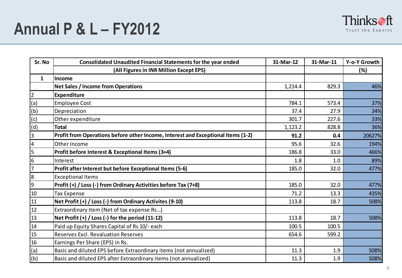

| Sr. No         | <b>Consolidated Unaudited Financial Statements for the year ended</b>            | 31-Mar-12 | 31-Mar-11 | Y-o-Y Growth |
|----------------|----------------------------------------------------------------------------------|-----------|-----------|--------------|
|                | (All Figures in INR Million Except EPS)                                          |           |           | (%)          |
| $\mathbf{1}$   | Income                                                                           |           |           |              |
|                | <b>Net Sales / Income from Operations</b>                                        | 1,214.4   | 829.3     | 46%          |
| $\overline{2}$ | <b>Expenditure</b>                                                               |           |           |              |
| (a)            | <b>Employee Cost</b>                                                             | 784.1     | 573.4     | 37%          |
| (b)            | Depreciation                                                                     | 37.4      | 27.9      | 34%          |
| (c)            | Other expenditure                                                                | 301.7     | 227.6     | 33%          |
| (d)            | <b>Total</b>                                                                     | 1,123.2   | 828.8     | 36%          |
| $\overline{3}$ | Profit from Operations before other Income, Interest and Exceptional Items (1-2) | 91.2      | 0.4       | 20627%       |
| $\pmb{4}$      | Other Income                                                                     | 95.6      | 32.6      | 194%         |
| 5              | Profit before Interest & Exceptional Items (3+4)                                 | 186.8     | 33.0      | 466%         |
| $6\,$          | Interest                                                                         | 1.8       | 1.0       | 89%          |
| $\overline{7}$ | Profit after Interest but before Exceptional Items (5-6)                         | 185.0     | 32.0      | 477%         |
| 8              | <b>Exceptional Items</b>                                                         |           |           |              |
| $\overline{9}$ | Profit (+) / Loss (-) from Ordinary Activities before Tax (7+8)                  | 185.0     | 32.0      | 477%         |
| 10             | <b>Tax Expense</b>                                                               | 71.2      | 13.3      | 435%         |
| 11             | Net Profit (+) / Loss (-) from Ordinary Activites (9-10)                         | 113.8     | 18.7      | 508%         |
| 12             | Extraordinary Item (Net of tax expense Rs)                                       |           |           |              |
| 13             | Net Profit $(+)$ / Loss $(-)$ for the period $(11-12)$                           | 113.8     | 18.7      | 508%         |
| 14             | Paid up Equity Shares Capital of Rs 10/- each                                    | 100.5     | 100.5     |              |
| 15             | <b>Reserves Excl. Revaluation Reserves</b>                                       | 654.6     | 599.2     |              |
| 16             | Earnings Per Share (EPS) in Rs.                                                  |           |           |              |
| (a)            | Basic and diluted EPS before Extraordinary items (not annualized)                | 11.3      | 1.9       | 508%         |
| (b)            | Basic and diluted EPS after Extraordinary items (not annualized)                 | 11.3      | 1.9       | 508%         |